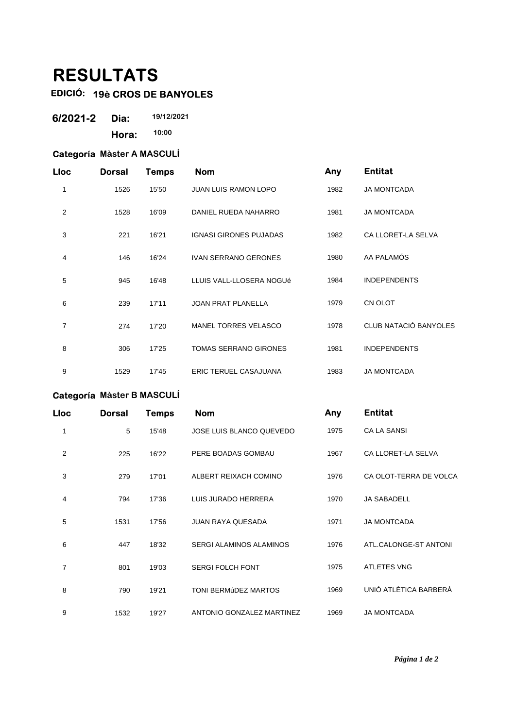# **RESULTATS**

## **EDICIÓ: 19è CROS DE BANYOLES**

| 6/2021-2 | Dia:  | 19/12/2021 |
|----------|-------|------------|
|          | Hora: | 10:00      |

#### **Categoría Màster A MASCULÍ**

| Lloc | <b>Dorsal</b> | <b>Temps</b> | <b>Nom</b>                    | Any  | <b>Entitat</b>        |
|------|---------------|--------------|-------------------------------|------|-----------------------|
| 1    | 1526          | 15'50        | <b>JUAN LUIS RAMON LOPO</b>   | 1982 | <b>JA MONTCADA</b>    |
| 2    | 1528          | 16'09        | DANIEL RUEDA NAHARRO          | 1981 | <b>JA MONTCADA</b>    |
| 3    | 221           | 16'21        | <b>IGNASI GIRONES PUJADAS</b> | 1982 | CA LLORET-LA SELVA    |
| 4    | 146           | 16'24        | <b>IVAN SERRANO GERONES</b>   | 1980 | AA PALAMÓS            |
| 5    | 945           | 16'48        | LLUIS VALL-LLOSERA NOGUé      | 1984 | <b>INDEPENDENTS</b>   |
| 6    | 239           | 17'11        | <b>JOAN PRAT PLANELLA</b>     | 1979 | CN OLOT               |
| 7    | 274           | 17'20        | <b>MANEL TORRES VELASCO</b>   | 1978 | CLUB NATACIÓ BANYOLES |
| 8    | 306           | 17'25        | <b>TOMAS SERRANO GIRONES</b>  | 1981 | <b>INDEPENDENTS</b>   |
| 9    | 1529          | 17'45        | <b>ERIC TERUEL CASAJUANA</b>  | 1983 | <b>JA MONTCADA</b>    |

### **Categoría Màster B MASCULÍ**

| Lloc | <b>Dorsal</b> | Temps | <b>Nom</b>                     | Any  | <b>Entitat</b>         |
|------|---------------|-------|--------------------------------|------|------------------------|
| 1    | 5             | 15'48 | JOSE LUIS BLANCO QUEVEDO       | 1975 | <b>CA LA SANSI</b>     |
| 2    | 225           | 16'22 | PERE BOADAS GOMBAU             | 1967 | CA LLORET-LA SELVA     |
| 3    | 279           | 17'01 | ALBERT REIXACH COMINO          | 1976 | CA OLOT-TERRA DE VOLCA |
| 4    | 794           | 17'36 | LUIS JURADO HERRERA            | 1970 | <b>JA SABADELL</b>     |
| 5    | 1531          | 17'56 | <b>JUAN RAYA QUESADA</b>       | 1971 | <b>JA MONTCADA</b>     |
| 6    | 447           | 18'32 | <b>SERGI ALAMINOS ALAMINOS</b> | 1976 | ATL.CALONGE-ST ANTONI  |
| 7    | 801           | 19'03 | <b>SERGI FOLCH FONT</b>        | 1975 | <b>ATLETES VNG</b>     |
| 8    | 790           | 19'21 | <b>TONI BERMÚDEZ MARTOS</b>    | 1969 | UNIÓ ATLÈTICA BARBERÀ  |
| 9    | 1532          | 19'27 | ANTONIO GONZALEZ MARTINEZ      | 1969 | <b>JA MONTCADA</b>     |